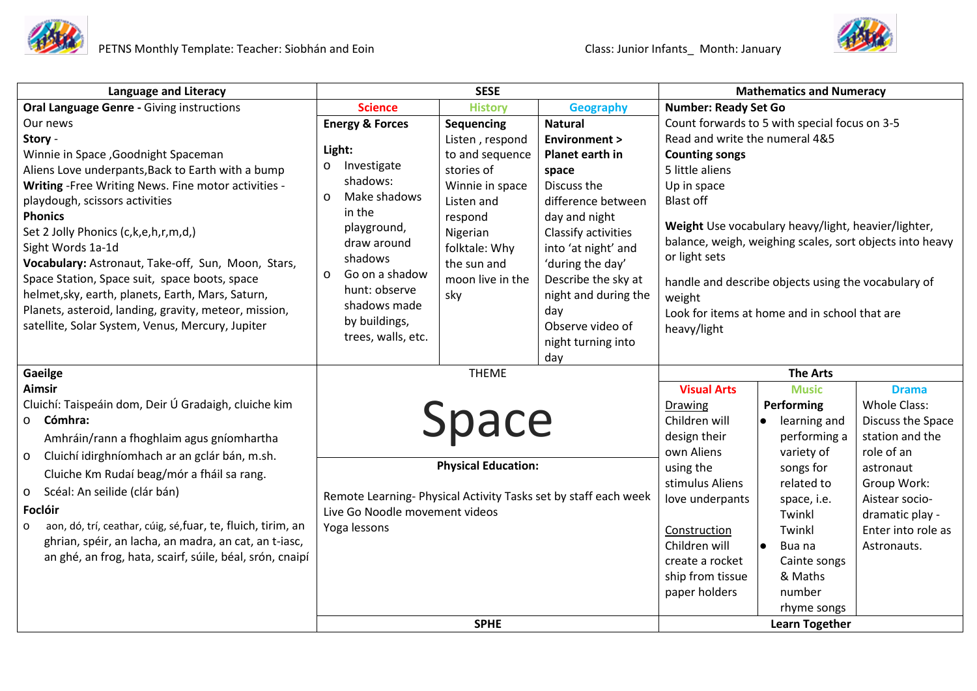

| <b>Language and Literacy</b>                                      | <b>SESE</b>                                                                                       |                            |                         | <b>Mathematics and Numeracy</b>               |                                                          |                    |
|-------------------------------------------------------------------|---------------------------------------------------------------------------------------------------|----------------------------|-------------------------|-----------------------------------------------|----------------------------------------------------------|--------------------|
| <b>Oral Language Genre - Giving instructions</b>                  | <b>Science</b>                                                                                    | <b>History</b>             | <b>Geography</b>        | <b>Number: Ready Set Go</b>                   |                                                          |                    |
| Our news                                                          | <b>Energy &amp; Forces</b>                                                                        | <b>Sequencing</b>          | <b>Natural</b>          | Count forwards to 5 with special focus on 3-5 |                                                          |                    |
| Story -                                                           |                                                                                                   | Listen, respond            | <b>Environment &gt;</b> | Read and write the numeral 4&5                |                                                          |                    |
| Winnie in Space, Goodnight Spaceman                               | Light:                                                                                            | to and sequence            | Planet earth in         | <b>Counting songs</b>                         |                                                          |                    |
| Aliens Love underpants, Back to Earth with a bump                 | Investigate<br>$\circ$                                                                            | stories of                 | space                   | 5 little aliens                               |                                                          |                    |
| Writing - Free Writing News. Fine motor activities -              | shadows:                                                                                          | Winnie in space            | Discuss the             | Up in space                                   |                                                          |                    |
| playdough, scissors activities                                    | Make shadows<br>$\Omega$                                                                          | Listen and                 | difference between      | <b>Blast off</b>                              |                                                          |                    |
| <b>Phonics</b>                                                    | in the                                                                                            | respond                    | day and night           |                                               |                                                          |                    |
| Set 2 Jolly Phonics (c,k,e,h,r,m,d,)                              | playground,                                                                                       | Nigerian                   | Classify activities     |                                               | Weight Use vocabulary heavy/light, heavier/lighter,      |                    |
| Sight Words 1a-1d                                                 | draw around                                                                                       | folktale: Why              | into 'at night' and     |                                               | balance, weigh, weighing scales, sort objects into heavy |                    |
| Vocabulary: Astronaut, Take-off, Sun, Moon, Stars,                | shadows                                                                                           | the sun and                | 'during the day'        | or light sets                                 |                                                          |                    |
| Space Station, Space suit, space boots, space                     | Go on a shadow<br>$\Omega$                                                                        | moon live in the           | Describe the sky at     |                                               | handle and describe objects using the vocabulary of      |                    |
| helmet, sky, earth, planets, Earth, Mars, Saturn,                 | hunt: observe                                                                                     | sky                        | night and during the    | weight                                        |                                                          |                    |
| Planets, asteroid, landing, gravity, meteor, mission,             | shadows made                                                                                      |                            | day                     |                                               | Look for items at home and in school that are            |                    |
| satellite, Solar System, Venus, Mercury, Jupiter                  | by buildings,                                                                                     |                            | Observe video of        | heavy/light                                   |                                                          |                    |
|                                                                   | trees, walls, etc.                                                                                |                            | night turning into      |                                               |                                                          |                    |
|                                                                   |                                                                                                   |                            | day                     |                                               |                                                          |                    |
| Gaeilge                                                           | <b>THEME</b>                                                                                      |                            | <b>The Arts</b>         |                                               |                                                          |                    |
| <b>Aimsir</b>                                                     |                                                                                                   |                            |                         | <b>Visual Arts</b>                            | <b>Music</b>                                             | <b>Drama</b>       |
| Cluichí: Taispeáin dom, Deir Ú Gradaigh, cluiche kim              |                                                                                                   |                            |                         | <b>Drawing</b>                                | Performing                                               | Whole Class:       |
| o Cómhra:                                                         |                                                                                                   | Space                      |                         | Children will                                 | learning and                                             | Discuss the Space  |
| Amhráin/rann a fhoghlaim agus gníomhartha                         |                                                                                                   |                            |                         | design their                                  | performing a                                             | station and the    |
| Cluichí idirghníomhach ar an gclár bán, m.sh.<br>$\circ$          |                                                                                                   |                            |                         | own Aliens                                    | variety of                                               | role of an         |
| Cluiche Km Rudaí beag/mór a fháil sa rang.                        |                                                                                                   | <b>Physical Education:</b> |                         | using the                                     | songs for                                                | astronaut          |
| Scéal: An seilide (clár bán)<br>$\circ$                           |                                                                                                   |                            |                         | stimulus Aliens                               | related to                                               | Group Work:        |
| Foclóir                                                           | Remote Learning- Physical Activity Tasks set by staff each week<br>Live Go Noodle movement videos |                            |                         | love underpants                               | space, i.e.                                              | Aistear socio-     |
| aon, dó, trí, ceathar, cúig, sé, fuar, te, fluich, tirim, an<br>o | Yoga lessons                                                                                      |                            |                         |                                               | Twinkl                                                   | dramatic play -    |
| ghrian, spéir, an lacha, an madra, an cat, an t-iasc,             |                                                                                                   |                            |                         | Construction                                  | Twinkl                                                   | Enter into role as |
| an ghé, an frog, hata, scairf, súile, béal, srón, cnaipí          |                                                                                                   |                            |                         | Children will                                 | $\bullet$<br>Bua na                                      | Astronauts.        |
|                                                                   |                                                                                                   |                            |                         | create a rocket                               | Cainte songs                                             |                    |
|                                                                   |                                                                                                   |                            |                         | ship from tissue                              | & Maths                                                  |                    |
|                                                                   |                                                                                                   |                            |                         | paper holders                                 | number                                                   |                    |
|                                                                   |                                                                                                   |                            |                         |                                               | rhyme songs                                              |                    |
|                                                                   | <b>SPHE</b>                                                                                       |                            |                         | <b>Learn Together</b>                         |                                                          |                    |